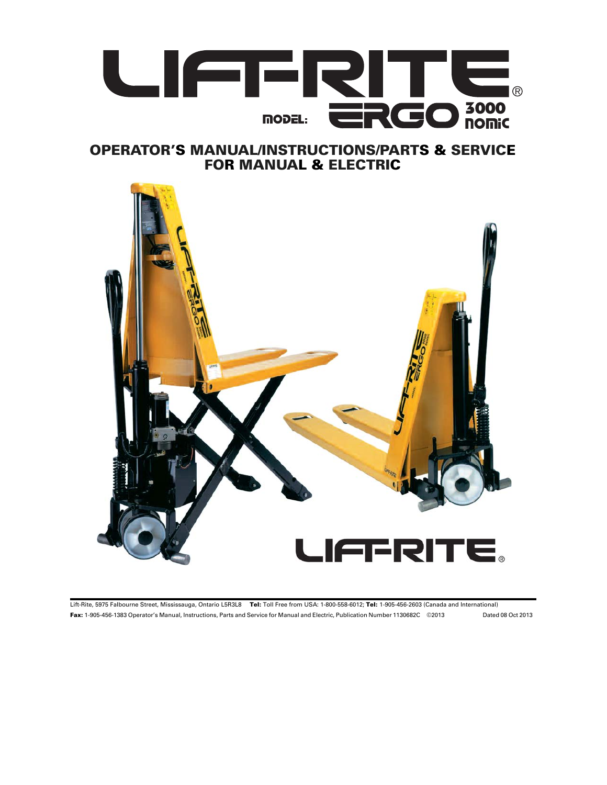

## **OPERATOR'S MANUAL/INSTRUCTIONS/PARTS & SERVICE FOR MANUAL & ELECTRIC**

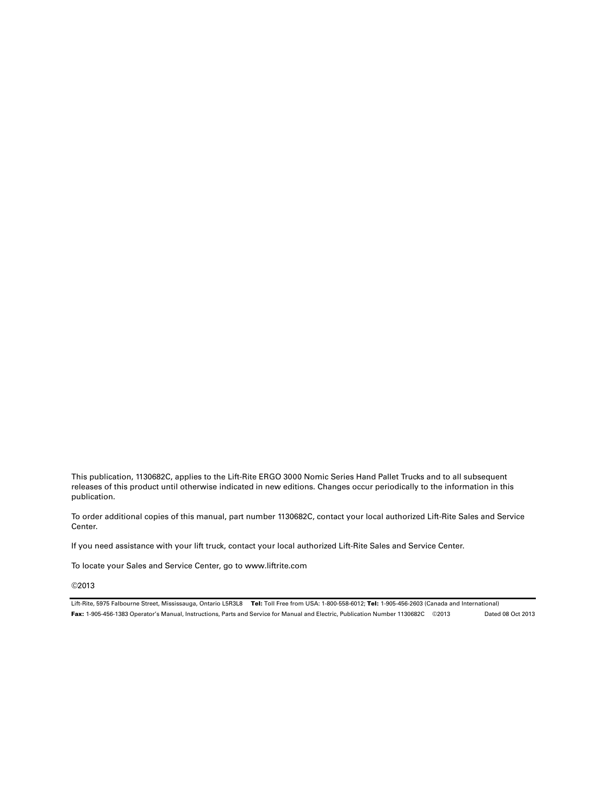This publication, 1130682C, applies to the Lift-Rite ERGO 3000 Nomic Series Hand Pallet Trucks and to all subsequent releases of this product until otherwise indicated in new editions. Changes occur periodically to the information in this publication.

To order additional copies of this manual, part number 1130682C, contact your local authorized Lift-Rite Sales and Service Center.

If you need assistance with your lift truck, contact your local authorized Lift-Rite Sales and Service Center.

To locate your Sales and Service Center, go to www.liftrite.com

©2013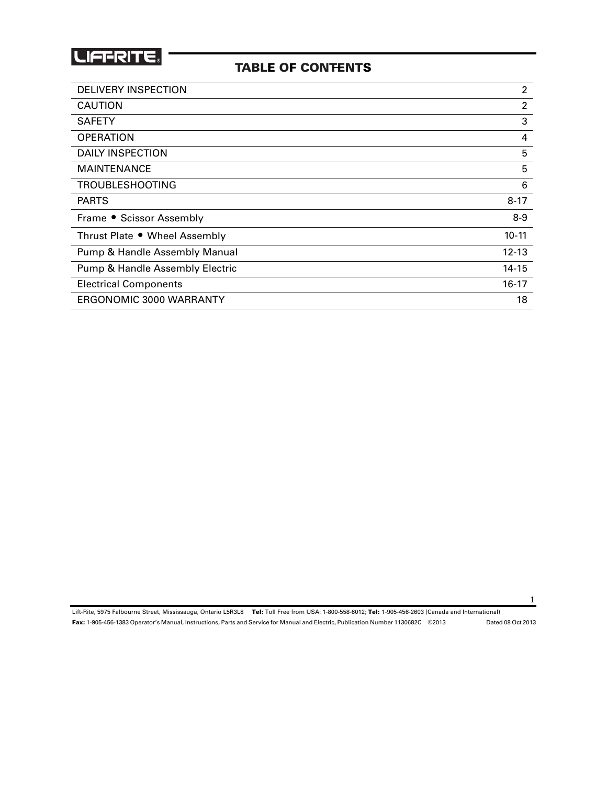

## **TABLE OF CONTENTS**

| <b>DELIVERY INSPECTION</b>                 | $\overline{2}$ |
|--------------------------------------------|----------------|
| <b>CAUTION</b>                             | 2              |
| <b>SAFETY</b>                              | 3              |
| <b>OPERATION</b>                           | 4              |
| <b>DAILY INSPECTION</b>                    | 5              |
| <b>MAINTENANCE</b>                         | 5              |
| <b>TROUBLESHOOTING</b>                     | 6              |
| <b>PARTS</b>                               | $8 - 17$       |
| Frame ● Scissor Assembly                   | $8-9$          |
| Thrust Plate ● Wheel Assembly              | $10 - 11$      |
| Pump & Handle Assembly Manual              | $12 - 13$      |
| <b>Pump &amp; Handle Assembly Electric</b> | 14-15          |
| <b>Electrical Components</b>               | 16-17          |
| <b>ERGONOMIC 3000 WARRANTY</b>             | 18             |

Lift-Rite, 5975 Falbourne Street, Mississauga, Ontario L5R3L8 **Tel:** Toll Free from USA: 1-800-558-6012; **Tel:** 1-905-456-2603 (Canada and International) Fax: 1-905-456-1383 Operator's Manual, Instructions, Parts and Service for Manual and Electric, Publication Number 1130682C ©2013 Dated 08 Oct 2013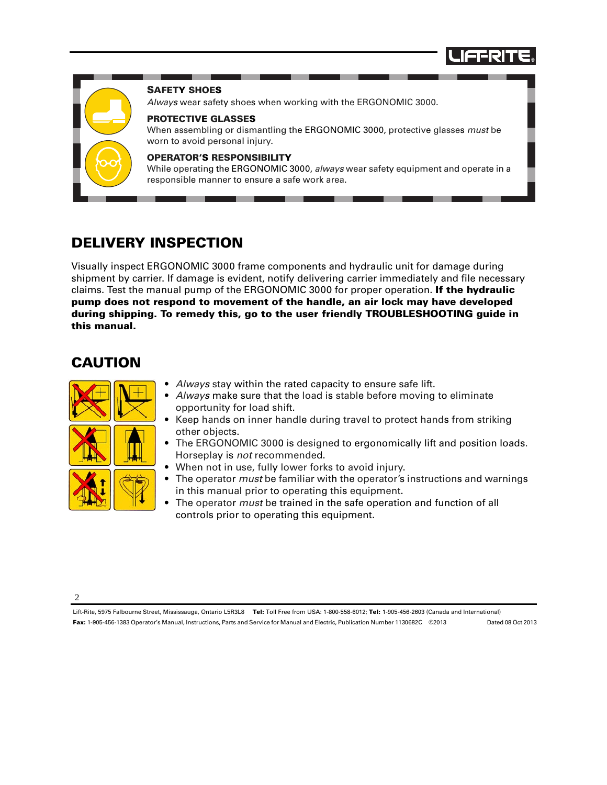



#### **SAFETY SHOES**

*Always* wear safety shoes when working with the ERGONOMIC 3000.

#### **PROTECTIVE GLASSES**

When assembling or dismantling the ERGONOMIC 3000, protective glasses *must* be worn to avoid personal injury.

#### **OPERATOR'S RESPONSIBILITY**

While operating the ERGONOMIC 3000, *always* wear safety equipment and operate in a responsible manner to ensure a safe work area.

## **DELIVERY INSPECTION**

Visually inspect ERGONOMIC 3000 frame components and hydraulic unit for damage during shipment by carrier. If damage is evident, notify delivering carrier immediately and file necessary claims. Test the manual pump of the ERGONOMIC 3000 for proper operation. **If the hydraulic pump does not respond to movement of the handle, an air lock may have developed during shipping. To remedy this, go to the user friendly TROUBLESHOOTING guide in this manual.**

## **CAUTION**



- *Always* stay within the rated capacity to ensure safe lift.
- *Always* make sure that the load is stable before moving to eliminate opportunity for load shift.
- Keep hands on inner handle during travel to protect hands from striking other objects.
- The ERGONOMIC 3000 is designed to ergonomically lift and position loads. Horseplay is *not* recommended.
- When not in use, fully lower forks to avoid injury.
- The operator *must* be familiar with the operator's instructions and warnings in this manual prior to operating this equipment.
- The operator *must* be trained in the safe operation and function of all controls prior to operating this equipment.

 $\mathcal{D}$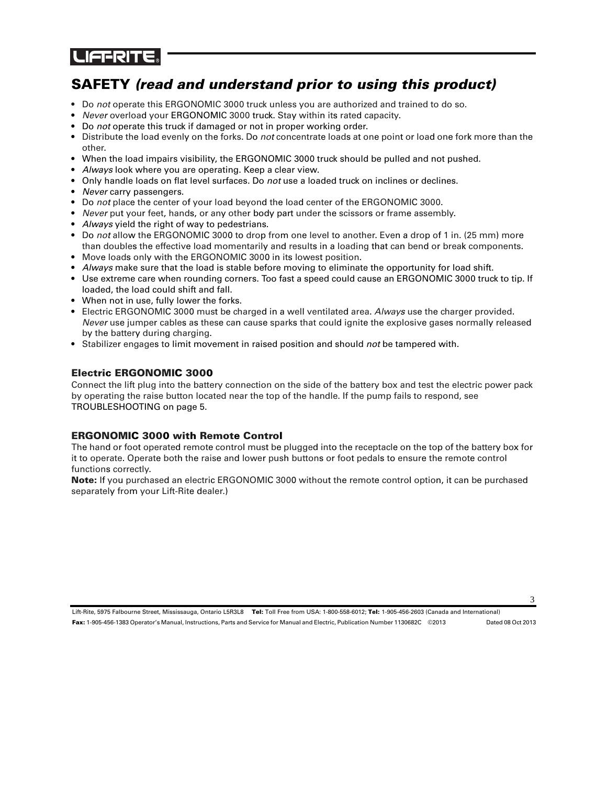## **SAFETY** *(read and understand prior to using this product)*

- Do *not* operate this ERGONOMIC 3000 truck unless you are authorized and trained to do so.
- *Never* overload your ERGONOMIC 3000 truck. Stay within its rated capacity.
- Do *not* operate this truck if damaged or not in proper working order.
- Distribute the load evenly on the forks. Do *not* concentrate loads at one point or load one fork more than the other.
- When the load impairs visibility, the ERGONOMIC 3000 truck should be pulled and not pushed.
- *Always* look where you are operating. Keep a clear view.
- Only handle loads on flat level surfaces. Do *not* use a loaded truck on inclines or declines.
- *Never* carry passengers.
- Do *not* place the center of your load beyond the load center of the ERGONOMIC 3000.
- *Never* put your feet, hands, or any other body part under the scissors or frame assembly.
- *Always* yield the right of way to pedestrians.
- Do *not* allow the ERGONOMIC 3000 to drop from one level to another. Even a drop of 1 in. (25 mm) more than doubles the effective load momentarily and results in a loading that can bend or break components.
- Move loads only with the ERGONOMIC 3000 in its lowest position.
- *Always* make sure that the load is stable before moving to eliminate the opportunity for load shift.
- Use extreme care when rounding corners. Too fast a speed could cause an ERGONOMIC 3000 truck to tip. If loaded, the load could shift and fall.
- When not in use, fully lower the forks.
- Electric ERGONOMIC 3000 must be charged in a well ventilated area. *Always* use the charger provided. *Never* use jumper cables as these can cause sparks that could ignite the explosive gases normally released by the battery during charging.
- Stabilizer engages to limit movement in raised position and should *not* be tampered with.

#### **Electric ERGONOMIC 3000**

Connect the lift plug into the battery connection on the side of the battery box and test the electric power pack by operating the raise button located near the top of the handle. If the pump fails to respond, see TROUBLESHOOTING on page 5.

#### **ERGONOMIC 3000 with Remote Control**

The hand or foot operated remote control must be plugged into the receptacle on the top of the battery box for it to operate. Operate both the raise and lower push buttons or foot pedals to ensure the remote control functions correctly.

**Note:** If you purchased an electric ERGONOMIC 3000 without the remote control option, it can be purchased separately from your Lift-Rite dealer.)

Lift-Rite, 5975 Falbourne Street, Mississauga, Ontario L5R3L8 **Tel:** Toll Free from USA: 1-800-558-6012; **Tel:** 1-905-456-2603 (Canada and International) Fax: 1-905-456-1383 Operator's Manual, Instructions, Parts and Service for Manual and Electric, Publication Number 1130682C ©2013 Dated 08 Oct 2013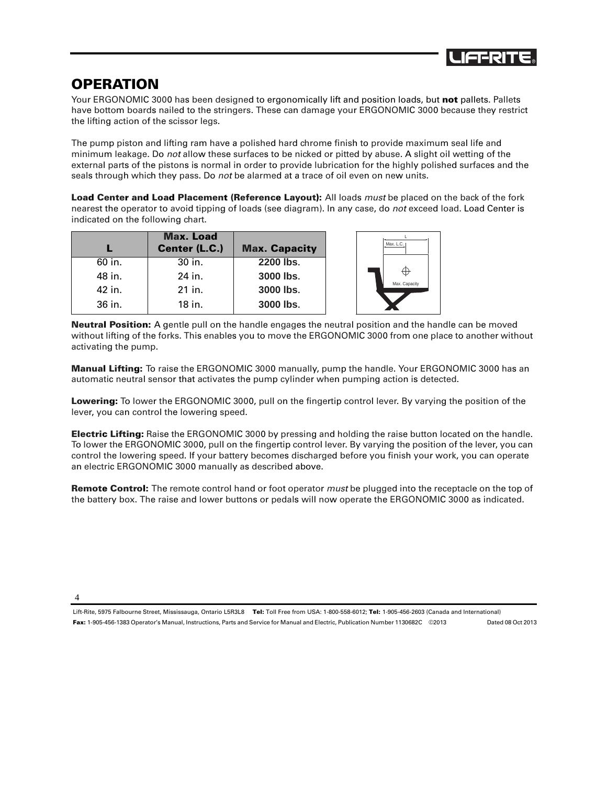

## **OPERATION**

Your ERGONOMIC 3000 has been designed to ergonomically lift and position loads, but **not** pallets. Pallets have bottom boards nailed to the stringers. These can damage your ERGONOMIC 3000 because they restrict the lifting action of the scissor legs.

The pump piston and lifting ram have a polished hard chrome finish to provide maximum seal life and minimum leakage. Do *not* allow these surfaces to be nicked or pitted by abuse. A slight oil wetting of the external parts of the pistons is normal in order to provide lubrication for the highly polished surfaces and the seals through which they pass. Do *not* be alarmed at a trace of oil even on new units.

Load Center and Load Placement (Reference Layout): All loads *must* be placed on the back of the fork nearest the operator to avoid tipping of loads (see diagram). In any case, do *not* exceed load. Load Center is indicated on the following chart.

|        | <b>Max. Load</b><br>Center (L.C.) | <b>Max. Capacity</b> |
|--------|-----------------------------------|----------------------|
| 60 in. | 30 in.                            | 2200 lbs.            |
| 48 in. | 24 in.                            | 3000 lbs.            |
| 42 in. | 21 in.                            | 3000 lbs.            |
| 36 in. | 18 in.                            | 3000 lbs.            |



**Neutral Position:** A gentle pull on the handle engages the neutral position and the handle can be moved without lifting of the forks. This enables you to move the ERGONOMIC 3000 from one place to another without activating the pump.

**Manual Lifting:** To raise the ERGONOMIC 3000 manually, pump the handle. Your ERGONOMIC 3000 has an automatic neutral sensor that activates the pump cylinder when pumping action is detected.

**Lowering:** To lower the ERGONOMIC 3000, pull on the fingertip control lever. By varying the position of the lever, you can control the lowering speed.

**Electric Lifting:** Raise the ERGONOMIC 3000 by pressing and holding the raise button located on the handle. To lower the ERGONOMIC 3000, pull on the fingertip control lever. By varying the position of the lever, you can control the lowering speed. If your battery becomes discharged before you finish your work, you can operate an electric ERGONOMIC 3000 manually as described above.

**Remote Control:** The remote control hand or foot operator *must* be plugged into the receptacle on the top of the battery box. The raise and lower buttons or pedals will now operate the ERGONOMIC 3000 as indicated.

4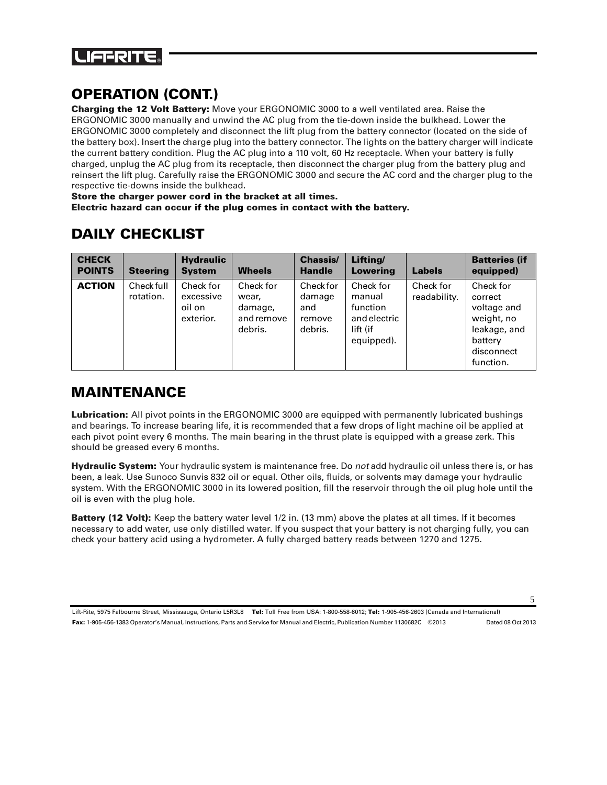

## **OPERATION (CONT.)**

**Charging the 12 Volt Battery:** Move your ERGONOMIC 3000 to a well ventilated area. Raise the ERGONOMIC 3000 manually and unwind the AC plug from the tie-down inside the bulkhead. Lower the ERGONOMIC 3000 completely and disconnect the lift plug from the battery connector (located on the side of the battery box). Insert the charge plug into the battery connector. The lights on the battery charger will indicate the current battery condition. Plug the AC plug into a 110 volt, 60 Hz receptacle. When your battery is fully charged, unplug the AC plug from its receptacle, then disconnect the charger plug from the battery plug and reinsert the lift plug. Carefully raise the ERGONOMIC 3000 and secure the AC cord and the charger plug to the respective tie-downs inside the bulkhead.

**Store the charger power cord in the bracket at all times.**

**Electric hazard can occur if the plug comes in contact with the battery.**

## **DAILY CHECKLIST**

| <b>CHECK</b><br><b>POINTS</b> | <b>Steering</b>         | <b>Hydraulic</b><br><b>System</b>             | <b>Wheels</b>                                          | <b>Chassis/</b><br><b>Handle</b>                | Lifting/<br><b>Lowering</b>                                               | <b>Labels</b>             | <b>Batteries (if</b><br>equipped)                                                                       |
|-------------------------------|-------------------------|-----------------------------------------------|--------------------------------------------------------|-------------------------------------------------|---------------------------------------------------------------------------|---------------------------|---------------------------------------------------------------------------------------------------------|
| <b>ACTION</b>                 | Check full<br>rotation. | Check for<br>excessive<br>oil on<br>exterior. | Check for<br>wear,<br>damage,<br>and remove<br>debris. | Check for<br>damage<br>and<br>remove<br>debris. | Check for<br>manual<br>function<br>and electric<br>lift (if<br>equipped). | Check for<br>readability. | Check for<br>correct<br>voltage and<br>weight, no<br>leakage, and<br>battery<br>disconnect<br>function. |

## **MAINTENANCE**

**Lubrication:** All pivot points in the ERGONOMIC 3000 are equipped with permanently lubricated bushings and bearings. To increase bearing life, it is recommended that a few drops of light machine oil be applied at each pivot point every 6 months. The main bearing in the thrust plate is equipped with a grease zerk. This should be greased every 6 months.

**Hydraulic System:** Your hydraulic system is maintenance free. Do *not* add hydraulic oil unless there is, or has been, a leak. Use Sunoco Sunvis 832 oil or equal. Other oils, fluids, or solvents may damage your hydraulic system. With the ERGONOMIC 3000 in its lowered position, fill the reservoir through the oil plug hole until the oil is even with the plug hole.

**Battery (12 Volt):** Keep the battery water level 1/2 in. (13 mm) above the plates at all times. If it becomes necessary to add water, use only distilled water. If you suspect that your battery is not charging fully, you can check your battery acid using a hydrometer. A fully charged battery reads between 1270 and 1275.

Lift-Rite, 5975 Falbourne Street, Mississauga, Ontario L5R3L8 **Tel:** Toll Free from USA: 1-800-558-6012; **Tel:** 1-905-456-2603 (Canada and International) Fax: 1-905-456-1383 Operator's Manual, Instructions, Parts and Service for Manual and Electric, Publication Number 1130682C ©2013 Dated 08 Oct 2013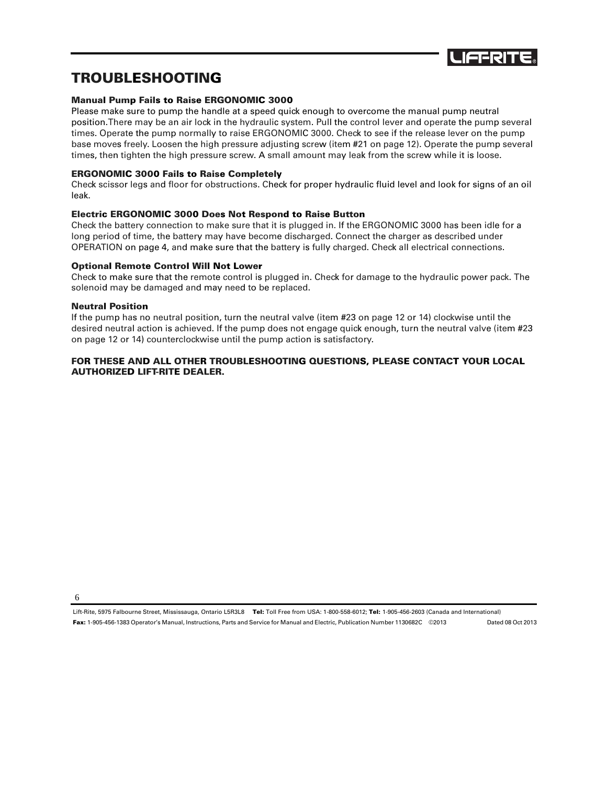

## **TROUBLESHOOTING**

#### **Manual Pump Fails to Raise ERGONOMIC 3000**

Please make sure to pump the handle at a speed quick enough to overcome the manual pump neutral position.There may be an air lock in the hydraulic system. Pull the control lever and operate the pump several times. Operate the pump normally to raise ERGONOMIC 3000. Check to see if the release lever on the pump base moves freely. Loosen the high pressure adjusting screw (item #21 on page 12). Operate the pump several times, then tighten the high pressure screw. A small amount may leak from the screw while it is loose.

#### **ERGONOMIC 3000 Fails to Raise Completely**

Check scissor legs and floor for obstructions. Check for proper hydraulic fluid level and look for signs of an oil leak.

#### **Electric ERGONOMIC 3000 Does Not Respond to Raise Button**

Check the battery connection to make sure that it is plugged in. If the ERGONOMIC 3000 has been idle for a long period of time, the battery may have become discharged. Connect the charger as described under OPERATION on page 4, and make sure that the battery is fully charged. Check all electrical connections.

#### **Optional Remote Control Will Not Lower**

Check to make sure that the remote control is plugged in. Check for damage to the hydraulic power pack. The solenoid may be damaged and may need to be replaced.

#### **Neutral Position**

If the pump has no neutral position, turn the neutral valve (item #23 on page 12 or 14) clockwise until the desired neutral action is achieved. If the pump does not engage quick enough, turn the neutral valve (item #23 on page 12 or 14) counterclockwise until the pump action is satisfactory.

#### **FOR THESE AND ALL OTHER TROUBLESHOOTING QUESTIONS, PLEASE CONTACT YOUR LOCAL AUTHORIZED LIFT-RITE DEALER.**

6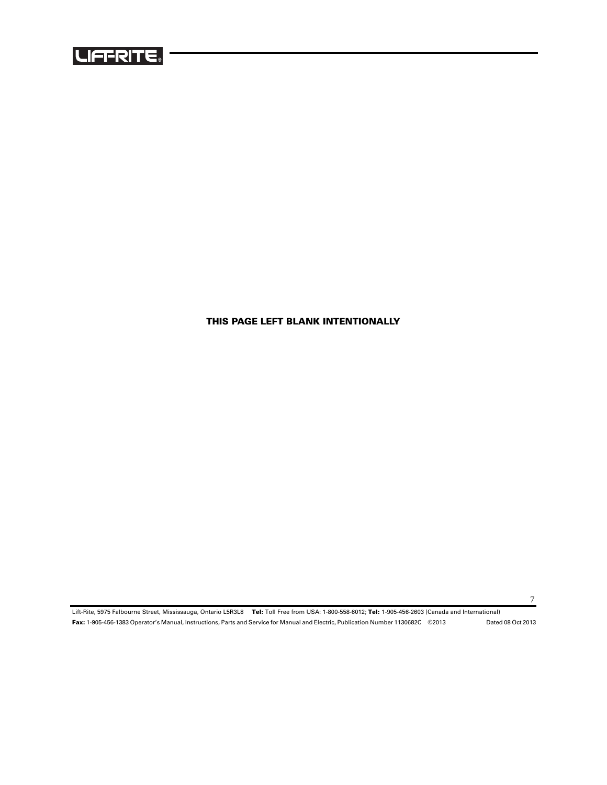

### **THIS PAGE LEFT BLANK INTENTIONALLY**

Lift-Rite, 5975 Falbourne Street, Mississauga, Ontario L5R3L8 **Tel:** Toll Free from USA: 1-800-558-6012; **Tel:** 1-905-456-2603 (Canada and International) Fax: 1-905-456-1383 Operator's Manual, Instructions, Parts and Service for Manual and Electric, Publication Number 1130682C ©2013 Dated 08 Oct 2013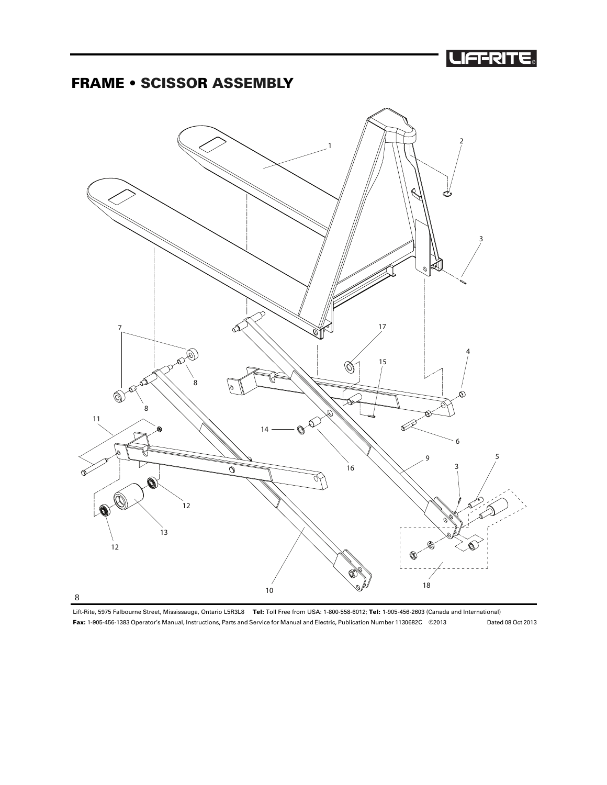**LIFT-RITE** 

## **FRAME • SCISSOR ASSEMBLY**

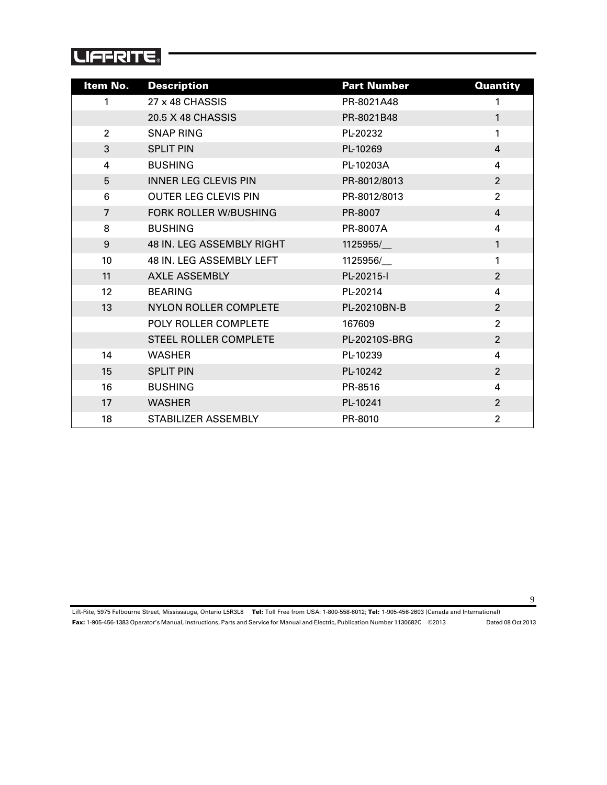## **LIFFRITE**

| Item No.       | <b>Description</b>           | <b>Part Number</b> | <b>Quantity</b> |
|----------------|------------------------------|--------------------|-----------------|
| 1              | 27 x 48 CHASSIS              | PR-8021A48         | 1               |
|                | 20.5 X 48 CHASSIS            | PR-8021B48         | $\mathbf{1}$    |
| 2              | <b>SNAP RING</b>             | PL-20232           | 1               |
| 3              | <b>SPLIT PIN</b>             | PL-10269           | $\overline{4}$  |
| $\overline{4}$ | <b>BUSHING</b>               | PL-10203A          | 4               |
| 5              | <b>INNER LEG CLEVIS PIN</b>  | PR-8012/8013       | $\overline{2}$  |
| 6              | <b>OUTER LEG CLEVIS PIN</b>  | PR-8012/8013       | $\overline{2}$  |
| $\overline{7}$ | <b>FORK ROLLER W/BUSHING</b> | PR-8007            | $\overline{4}$  |
| 8              | <b>BUSHING</b>               | PR-8007A           | 4               |
| 9              | 48 IN. LEG ASSEMBLY RIGHT    | 1125955/           | $\mathbf{1}$    |
| 10             | 48 IN. LEG ASSEMBLY LEFT     | 1125956/           | 1               |
| 11             | <b>AXLE ASSEMBLY</b>         | PL-20215-I         | $\overline{2}$  |
| 12             | <b>BEARING</b>               | PL-20214           | 4               |
| 13             | NYLON ROLLER COMPLETE        | PL-20210BN-B       | $\overline{2}$  |
|                | POLY ROLLER COMPLETE         | 167609             | $\overline{2}$  |
|                | STEEL ROLLER COMPLETE        | PL-20210S-BRG      | $\overline{2}$  |
| 14             | <b>WASHER</b>                | PL-10239           | 4               |
| 15             | <b>SPLIT PIN</b>             | PL-10242           | $\overline{2}$  |
| 16             | <b>BUSHING</b>               | PR-8516            | 4               |
| 17             | <b>WASHER</b>                | PL-10241           | $\overline{2}$  |
| 18             | STABILIZER ASSEMBLY          | PR-8010            | $\overline{2}$  |

Lift-Rite, 5975 Falbourne Street, Mississauga, Ontario L5R3L8 **Tel:** Toll Free from USA: 1-800-558-6012; **Tel:** 1-905-456-2603 (Canada and International) Fax: 1-905-456-1383 Operator's Manual, Instructions, Parts and Service for Manual and Electric, Publication Number 1130682C ©2013 Dated 08 Oct 2013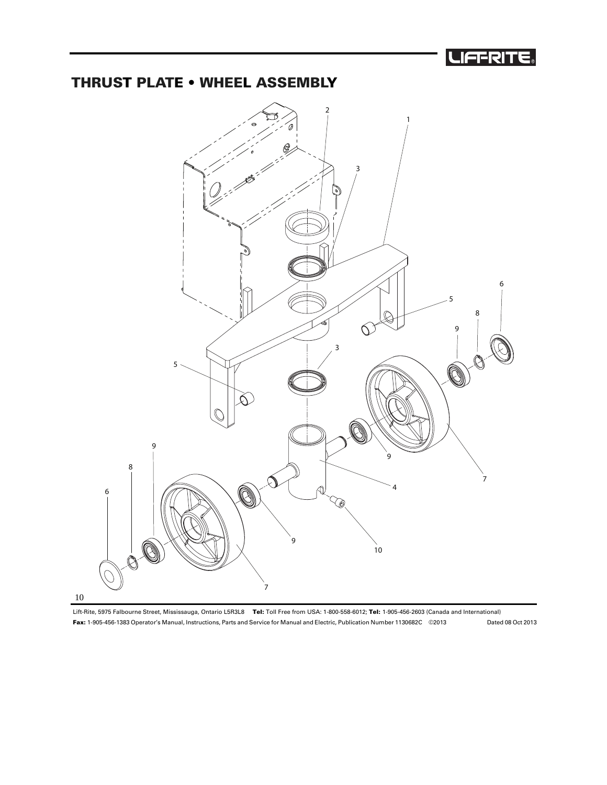LIFFRIT ٣,

## **THRUST PLATE • WHEEL ASSEMBLY**

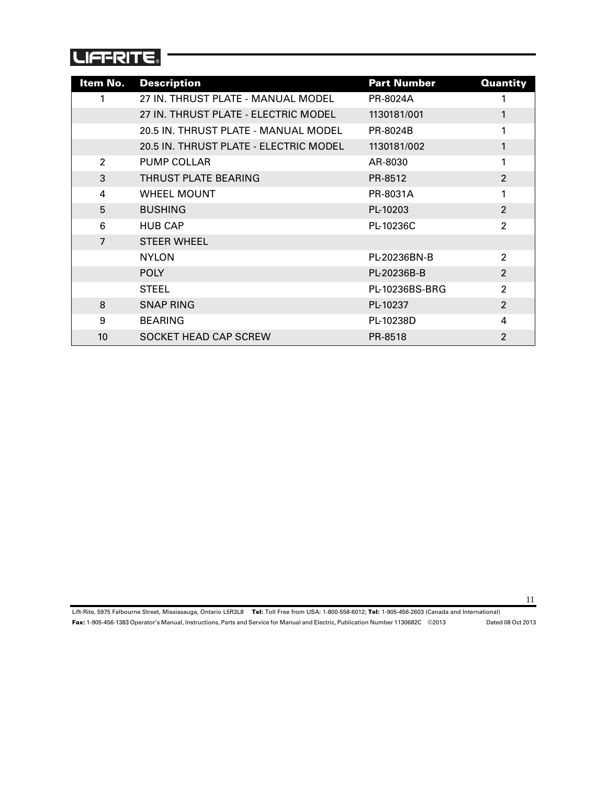## LIFFRITE

| Item No.       | <b>Description</b>                     | <b>Part Number</b> | <b>Quantity</b> |
|----------------|----------------------------------------|--------------------|-----------------|
| 1              | 27 IN. THRUST PLATE - MANUAL MODEL     | PR-8024A           | 1               |
|                | 27 IN. THRUST PLATE - ELECTRIC MODEL   | 1130181/001        | 1               |
|                | 20.5 IN. THRUST PLATE - MANUAL MODEL   | PR-8024B           | 1               |
|                | 20.5 IN. THRUST PLATE - ELECTRIC MODEL | 1130181/002        |                 |
| $\mathfrak{p}$ | PUMP COLLAR                            | AR-8030            | 1               |
| 3              | THRUST PLATE BEARING                   | PR-8512            | $\overline{2}$  |
| 4              | <b>WHEEL MOUNT</b>                     | PR-8031A           | 1               |
| 5              | <b>BUSHING</b>                         | PL-10203           | $\overline{2}$  |
| 6              | <b>HUB CAP</b>                         | PL-10236C          | $\overline{2}$  |
| $\overline{7}$ | <b>STEER WHEEL</b>                     |                    |                 |
|                | <b>NYLON</b>                           | PL-20236BN-B       | $\mathfrak{p}$  |
|                | <b>POLY</b>                            | PL-20236B-B        | $\overline{2}$  |
|                | <b>STEEL</b>                           | PL-10236BS-BRG     | $\overline{2}$  |
| 8              | <b>SNAP RING</b>                       | PL-10237           | $\overline{2}$  |
| 9              | <b>BEARING</b>                         | PL-10238D          | 4               |
| 10             | SOCKET HEAD CAP SCREW                  | PR-8518            | $\overline{2}$  |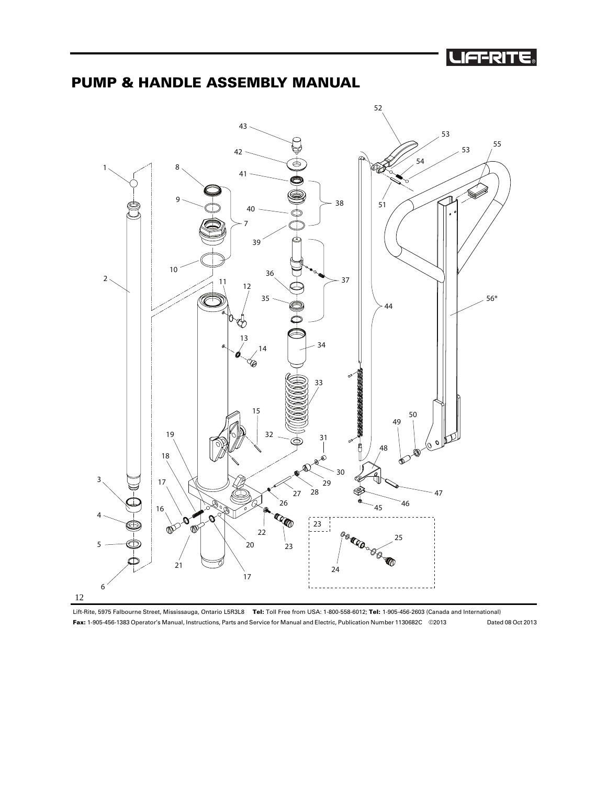LIFFRI

## **PUMP & HANDLE ASSEMBLY MANUAL**



Lift-Rite, 5975 Falbourne Street, Mississauga, Ontario L5R3L8 **Tel:** Toll Free from USA: 1-800-558-6012; **Tel:** 1-905-456-2603 (Canada and International) Fax: 1-905-456-1383 Operator's Manual, Instructions, Parts and Service for Manual and Electric, Publication Number 1130682C ©2013 Dated 08 Oct 2013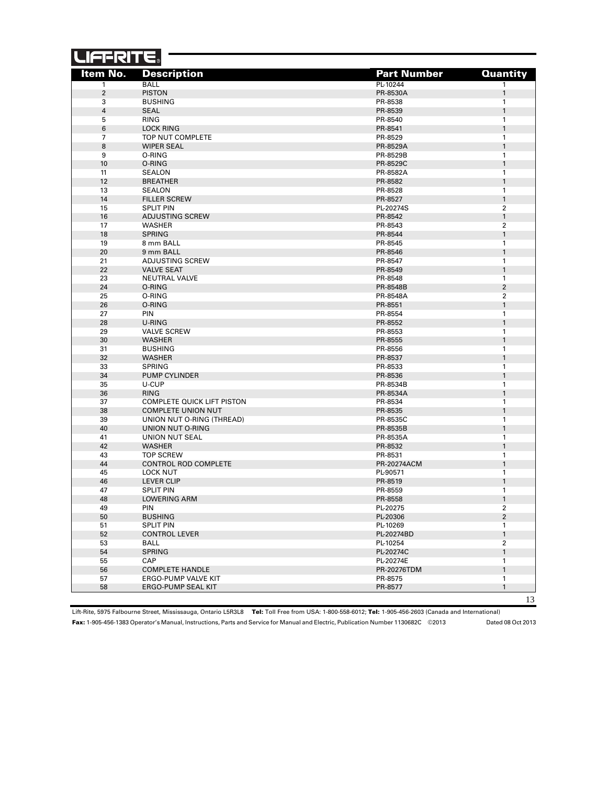| LIFFRITE       |                                           |                     |                              |
|----------------|-------------------------------------------|---------------------|------------------------------|
| Item No.       | <b>Description</b>                        | <b>Part Number</b>  | <b>Quantity</b>              |
| 1              | <b>BALL</b>                               | PL-10244            | 1                            |
| $\overline{2}$ | <b>PISTON</b>                             | PR-8530A            | $\mathbf{1}$                 |
| 3              | <b>BUSHING</b>                            | PR-8538             | 1                            |
| $\overline{4}$ | <b>SEAL</b>                               | PR-8539             | $\mathbf{1}$                 |
| 5              | <b>RING</b>                               | PR-8540             | $\mathbf{1}$                 |
| 6              | <b>LOCK RING</b>                          | PR-8541             | $\mathbf{1}$                 |
| 7              | TOP NUT COMPLETE                          | PR-8529             | $\mathbf{1}$                 |
| 8              | <b>WIPER SEAL</b>                         | PR-8529A            | $\mathbf{1}$                 |
| 9              | O-RING                                    | PR-8529B            | $\mathbf{1}$                 |
| 10             | O-RING                                    | PR-8529C            | $\mathbf{1}$                 |
| 11             | <b>SEALON</b>                             | PR-8582A            | $\mathbf{1}$                 |
| 12             | <b>BREATHER</b>                           | PR-8582             | $\mathbf{1}$                 |
| 13             | <b>SEALON</b>                             | PR-8528             | $\mathbf{1}$                 |
| 14             | <b>FILLER SCREW</b>                       | PR-8527             | $\mathbf{1}$                 |
| 15             | <b>SPLIT PIN</b>                          | PL-20274S           | $\overline{2}$               |
| 16             | <b>ADJUSTING SCREW</b>                    | PR-8542             | $\mathbf{1}$                 |
| 17             | <b>WASHER</b>                             | PR-8543             | $\overline{2}$               |
| 18             | <b>SPRING</b>                             | PR-8544             | $\mathbf{1}$                 |
| 19             | 8 mm BALL                                 | PR-8545             | $\mathbf{1}$                 |
| 20             | 9 mm BALL                                 | PR-8546             | $\mathbf{1}$                 |
| 21<br>22       | ADJUSTING SCREW                           | PR-8547             | $\mathbf{1}$<br>$\mathbf{1}$ |
| 23             | <b>VALVE SEAT</b><br><b>NEUTRAL VALVE</b> | PR-8549<br>PR-8548  | $\mathbf{1}$                 |
| 24             | O-RING                                    | PR-8548B            | $\overline{2}$               |
| 25             | O-RING                                    | PR-8548A            | $\overline{2}$               |
| 26             | O-RING                                    | PR-8551             | $\mathbf{1}$                 |
| 27             | PIN                                       | PR-8554             | $\mathbf{1}$                 |
| 28             | U-RING                                    | PR-8552             | $\mathbf{1}$                 |
| 29             | <b>VALVE SCREW</b>                        | PR-8553             | $\mathbf{1}$                 |
| 30             | <b>WASHER</b>                             | PR-8555             | $\mathbf{1}$                 |
| 31             | <b>BUSHING</b>                            | PR-8556             | $\mathbf{1}$                 |
| 32             | <b>WASHER</b>                             | PR-8537             | $\mathbf{1}$                 |
| 33             | <b>SPRING</b>                             | PR-8533             | $\mathbf{1}$                 |
| 34             | <b>PUMP CYLINDER</b>                      | PR-8536             | $\mathbf{1}$                 |
| 35             | U-CUP                                     | PR-8534B            | $\mathbf{1}$                 |
| 36             | <b>RING</b>                               | PR-8534A            | $\mathbf{1}$                 |
| 37             | <b>COMPLETE QUICK LIFT PISTON</b>         | PR-8534             | 1                            |
| 38             | <b>COMPLETE UNION NUT</b>                 | PR-8535             | $\mathbf{1}$                 |
| 39             | UNION NUT O-RING (THREAD)                 | PR-8535C            | $\mathbf{1}$                 |
| 40             | UNION NUT O-RING                          | PR-8535B            | $\mathbf{1}$                 |
| 41             | UNION NUT SEAL                            | PR-8535A            | $\mathbf{1}$                 |
| 42             | <b>WASHER</b>                             | PR-8532             | $\mathbf{1}$                 |
| 43             | <b>TOP SCREW</b>                          | PR-8531             | $\mathbf{1}$                 |
| 44             | <b>CONTROL ROD COMPLETE</b>               | PR-20274ACM         | $\mathbf{1}$                 |
| 45<br>46       | <b>LOCK NUT</b><br><b>LEVER CLIP</b>      | PL-90571<br>PR-8519 | $\mathbf{1}$<br>$\mathbf{1}$ |
| 47             |                                           |                     | 1                            |
| 48             | SPLIT PIN<br>LOWERING ARM                 | PR-8559<br>PR-8558  | $\mathbf{1}$                 |
| 49             | PIN                                       | PL-20275            | $\overline{2}$               |
| 50             | <b>BUSHING</b>                            | PL-20306            | $2^{\circ}$                  |
| 51             | <b>SPLIT PIN</b>                          | PL-10269            | $\mathbf{1}$                 |
| 52             | <b>CONTROL LEVER</b>                      | PL-20274BD          | $\mathbf{1}$                 |
| 53             | BALL                                      | PL-10254            | $\overline{2}$               |
| 54             | <b>SPRING</b>                             | PL-20274C           | $\mathbf{1}$                 |
| 55             | CAP                                       | PL-20274E           | $\mathbf{1}$                 |
| 56             | <b>COMPLETE HANDLE</b>                    | PR-20276TDM         | $\mathbf{1}$                 |
| 57             | <b>ERGO-PUMP VALVE KIT</b>                | PR-8575             | $\mathbf{1}$                 |
| 58             | ERGO-PUMP SEAL KIT                        | PR-8577             | $\mathbf{1}$                 |
|                |                                           |                     | 13                           |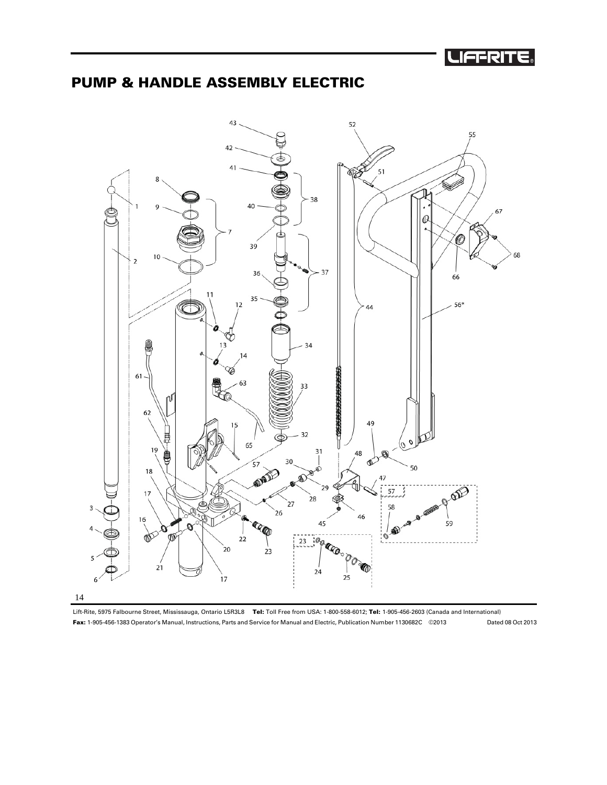## **PUMP & HANDLE ASSEMBLY ELECTRIC**



14

Lift-Rite, 5975 Falbourne Street, Mississauga, Ontario L5R3L8 **Tel:** Toll Free from USA: 1-800-558-6012; **Tel:** 1-905-456-2603 (Canada and International) Fax: 1-905-456-1383 Operator's Manual, Instructions, Parts and Service for Manual and Electric, Publication Number 1130682C ©2013 Dated 08 Oct 2013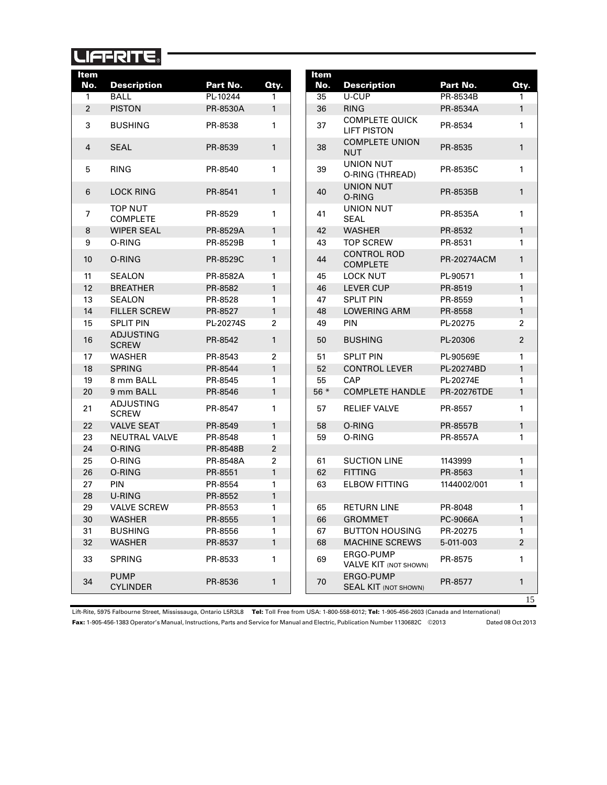## **LIFFRITE**

| <b>Item</b>    |                                   |                      |                | Item      |                                           |                      |      |
|----------------|-----------------------------------|----------------------|----------------|-----------|-------------------------------------------|----------------------|------|
| No.<br>1       | <b>Description</b><br><b>BALL</b> | Part No.<br>PL-10244 | Oty.<br>1      | No.<br>35 | <b>Description</b><br>U-CUP               | Part No.<br>PR-8534B | Qty. |
| $\overline{2}$ | <b>PISTON</b>                     | PR-8530A             | $\mathbf{1}$   | 36        | <b>RING</b>                               | PR-8534A             |      |
|                |                                   |                      |                |           | <b>COMPLETE QUICK</b>                     |                      |      |
| 3              | <b>BUSHING</b>                    | PR-8538              | 1              | 37        | <b>LIFT PISTON</b>                        | PR-8534              |      |
| 4              | <b>SEAL</b>                       | PR-8539              | 1              | 38        | <b>COMPLETE UNION</b><br><b>NUT</b>       | PR-8535              |      |
| 5              | <b>RING</b>                       | PR-8540              | 1              | 39        | <b>UNION NUT</b><br>O-RING (THREAD)       | PR-8535C             |      |
| 6              | <b>LOCK RING</b>                  | PR-8541              | 1              | 40        | <b>UNION NUT</b><br>O-RING                | PR-8535B             |      |
| 7              | <b>TOP NUT</b><br><b>COMPLETE</b> | PR-8529              | 1              | 41        | <b>UNION NUT</b><br><b>SEAL</b>           | PR-8535A             |      |
| 8              | <b>WIPER SEAL</b>                 | PR-8529A             | $\mathbf{1}$   | 42        | <b>WASHER</b>                             | PR-8532              |      |
| 9              | O-RING                            | PR-8529B             | 1              | 43        | <b>TOP SCREW</b>                          | PR-8531              |      |
| 10             | O-RING                            | PR-8529C             | $\mathbf{1}$   | 44        | <b>CONTROL ROD</b><br><b>COMPLETE</b>     | PR-20274ACM          |      |
| 11             | <b>SEALON</b>                     | PR-8582A             | 1              | 45        | <b>LOCK NUT</b>                           | PL-90571             |      |
| 12             | <b>BREATHER</b>                   | PR-8582              | $\mathbf{1}$   | 46        | <b>LEVER CUP</b>                          | PR-8519              |      |
| 13             | <b>SEALON</b>                     | PR-8528              | 1              | 47        | <b>SPLIT PIN</b>                          | PR-8559              |      |
| 14             | <b>FILLER SCREW</b>               | PR-8527              | $\mathbf{1}$   | 48        | <b>LOWERING ARM</b>                       | PR-8558              |      |
| 15             | <b>SPLIT PIN</b>                  | PL-20274S            | $\overline{2}$ | 49        | PIN                                       | PL-20275             |      |
| 16             | <b>ADJUSTING</b><br><b>SCREW</b>  | PR-8542              | $\mathbf{1}$   | 50        | <b>BUSHING</b>                            | PL-20306             |      |
| 17             | <b>WASHER</b>                     | PR-8543              | $\overline{2}$ | 51        | <b>SPLIT PIN</b>                          | PL-90569E            |      |
| 18             | <b>SPRING</b>                     | PR-8544              | $\mathbf{1}$   | 52        | <b>CONTROL LEVER</b>                      | PL-20274BD           |      |
| 19             | 8 mm BALL                         | PR-8545              | 1              | 55        | CAP                                       | PL-20274E            |      |
| 20             | 9 mm BALL                         | PR-8546              | $\mathbf{1}$   | $56*$     | <b>COMPLETE HANDLE</b>                    | PR-20276TDE          |      |
| 21             | <b>ADJUSTING</b><br><b>SCREW</b>  | PR-8547              | 1              | 57        | <b>RELIEF VALVE</b>                       | PR-8557              |      |
| 22             | <b>VALVE SEAT</b>                 | PR-8549              | 1              | 58        | O-RING                                    | PR-8557B             |      |
| 23             | <b>NEUTRAL VALVE</b>              | PR-8548              | 1              | 59        | O-RING                                    | PR-8557A             |      |
| 24             | O-RING                            | PR-8548B             | $\overline{2}$ |           |                                           |                      |      |
| 25             | O-RING                            | PR-8548A             | 2              | 61        | <b>SUCTION LINE</b>                       | 1143999              |      |
| 26             | O-RING                            | PR-8551              | $\mathbf{1}$   | 62        | <b>FITTING</b>                            | PR-8563              |      |
| 27             | PIN                               | PR-8554              | 1              | 63        | <b>ELBOW FITTING</b>                      | 1144002/001          |      |
| 28             | U-RING                            | PR-8552              | 1              |           |                                           |                      |      |
| 29             | <b>VALVE SCREW</b>                | PR-8553              | 1              | 65        | <b>RETURN LINE</b>                        | PR-8048              |      |
| 30             | <b>WASHER</b>                     | PR-8555              | 1              | 66        | <b>GROMMET</b>                            | PC-9066A             |      |
| 31             | <b>BUSHING</b>                    | PR-8556              | 1              | 67        | <b>BUTTON HOUSING</b>                     | PR-20275             |      |
| 32             | <b>WASHER</b>                     | PR-8537              | 1              | 68        | <b>MACHINE SCREWS</b>                     | 5-011-003            |      |
| 33             | <b>SPRING</b>                     | PR-8533              | 1              | 69        | ERGO-PUMP<br><b>VALVE KIT (NOT SHOWN)</b> | PR-8575              |      |
| 34             | <b>PUMP</b><br><b>CYLINDER</b>    | PR-8536              | 1              | 70        | ERGO-PUMP<br><b>SEAL KIT (NOT SHOWN)</b>  | PR-8577              |      |

Lift-Rite, 5975 Falbourne Street, Mississauga, Ontario L5R3L8 **Tel:** Toll Free from USA: 1-800-558-6012; **Tel:** 1-905-456-2603 (Canada and International)

Fax: 1-905-456-1383 Operator's Manual, Instructions, Parts and Service for Manual and Electric, Publication Number 1130682C ©2013 Dated 08 Oct 2013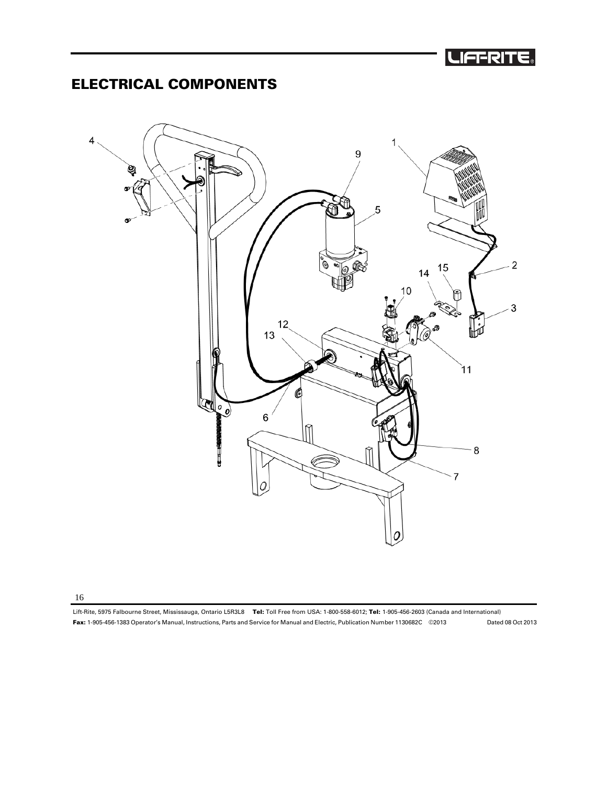## **ELECTRICAL COMPONENTS**



Lift-Rite, 5975 Falbourne Street, Mississauga, Ontario L5R3L8 **Tel:** Toll Free from USA: 1-800-558-6012; **Tel:** 1-905-456-2603 (Canada and International) Fax: 1-905-456-1383 Operator's Manual, Instructions, Parts and Service for Manual and Electric, Publication Number 1130682C ©2013 Dated 08 Oct 2013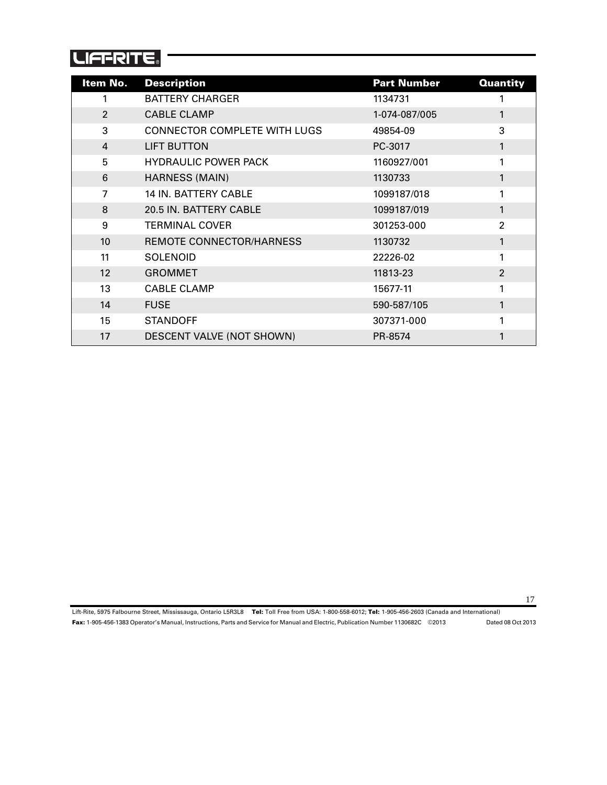## **LIFFRITE**

| Item No.       | <b>Description</b>                  | <b>Part Number</b> | <b>Quantity</b>         |
|----------------|-------------------------------------|--------------------|-------------------------|
| 1              | <b>BATTERY CHARGER</b>              | 1134731            | 1                       |
| $\mathfrak{p}$ | <b>CABLE CLAMP</b>                  | 1-074-087/005      | 1                       |
| 3              | <b>CONNECTOR COMPLETE WITH LUGS</b> | 49854-09           | 3                       |
| $\overline{4}$ | <b>LIFT BUTTON</b>                  | PC-3017            | 1                       |
| 5              | <b>HYDRAULIC POWER PACK</b>         | 1160927/001        | 1                       |
| 6              | <b>HARNESS (MAIN)</b>               | 1130733            | 1                       |
| 7              | 14 IN. BATTERY CABLE                | 1099187/018        | 1                       |
| 8              | 20.5 IN. BATTERY CABLE              | 1099187/019        | 1                       |
| 9              | <b>TERMINAL COVER</b>               | 301253-000         | $\overline{\mathbf{c}}$ |
| 10             | <b>REMOTE CONNECTOR/HARNESS</b>     | 1130732            | 1                       |
| 11             | <b>SOLENOID</b>                     | 22226-02           | 1                       |
| 12             | <b>GROMMET</b>                      | 11813-23           | $\mathfrak{p}$          |
| 13             | <b>CABLE CLAMP</b>                  | 15677-11           | 1                       |
| 14             | <b>FUSE</b>                         | 590-587/105        | 1                       |
| 15             | <b>STANDOFF</b>                     | 307371-000         |                         |
| 17             | <b>DESCENT VALVE (NOT SHOWN)</b>    | PR-8574            |                         |

Lift-Rite, 5975 Falbourne Street, Mississauga, Ontario L5R3L8 **Tel:** Toll Free from USA: 1-800-558-6012; **Tel:** 1-905-456-2603 (Canada and International) Fax: 1-905-456-1383 Operator's Manual, Instructions, Parts and Service for Manual and Electric, Publication Number 1130682C ©2013 Dated 08 Oct 2013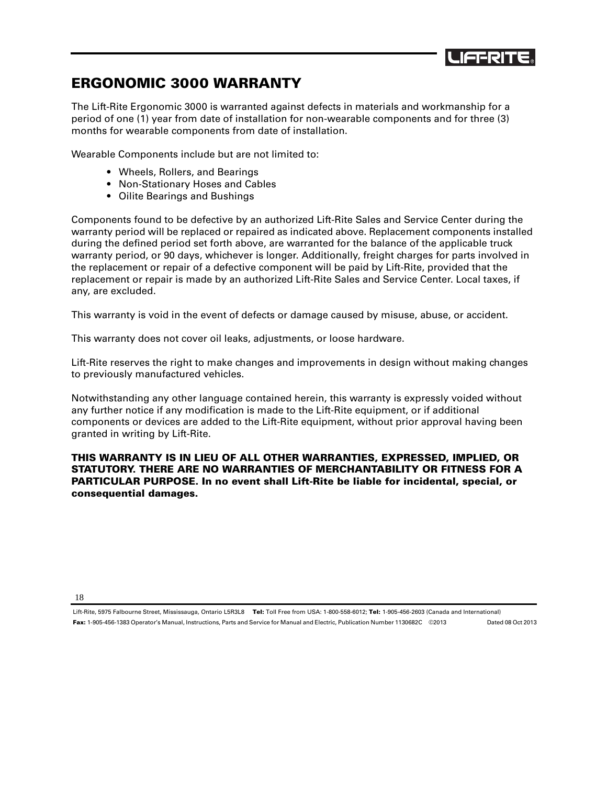

## **ERGONOMIC 3000 WARRANTY**

The Lift-Rite Ergonomic 3000 is warranted against defects in materials and workmanship for a period of one (1) year from date of installation for non-wearable components and for three (3) months for wearable components from date of installation.

Wearable Components include but are not limited to:

- Wheels, Rollers, and Bearings
- Non-Stationary Hoses and Cables
- Oilite Bearings and Bushings

Components found to be defective by an authorized Lift-Rite Sales and Service Center during the warranty period will be replaced or repaired as indicated above. Replacement components installed during the defined period set forth above, are warranted for the balance of the applicable truck warranty period, or 90 days, whichever is longer. Additionally, freight charges for parts involved in the replacement or repair of a defective component will be paid by Lift-Rite, provided that the replacement or repair is made by an authorized Lift-Rite Sales and Service Center. Local taxes, if any, are excluded.

This warranty is void in the event of defects or damage caused by misuse, abuse, or accident.

This warranty does not cover oil leaks, adjustments, or loose hardware.

Lift-Rite reserves the right to make changes and improvements in design without making changes to previously manufactured vehicles.

Notwithstanding any other language contained herein, this warranty is expressly voided without any further notice if any modification is made to the Lift-Rite equipment, or if additional components or devices are added to the Lift-Rite equipment, without prior approval having been granted in writing by Lift-Rite.

**THIS WARRANTY IS IN LIEU OF ALL OTHER WARRANTIES, EXPRESSED, IMPLIED, OR STATUTORY. THERE ARE NO WARRANTIES OF MERCHANTABILITY OR FITNESS FOR A PARTICULAR PURPOSE. In no event shall Lift-Rite be liable for incidental, special, or consequential damages.**

18